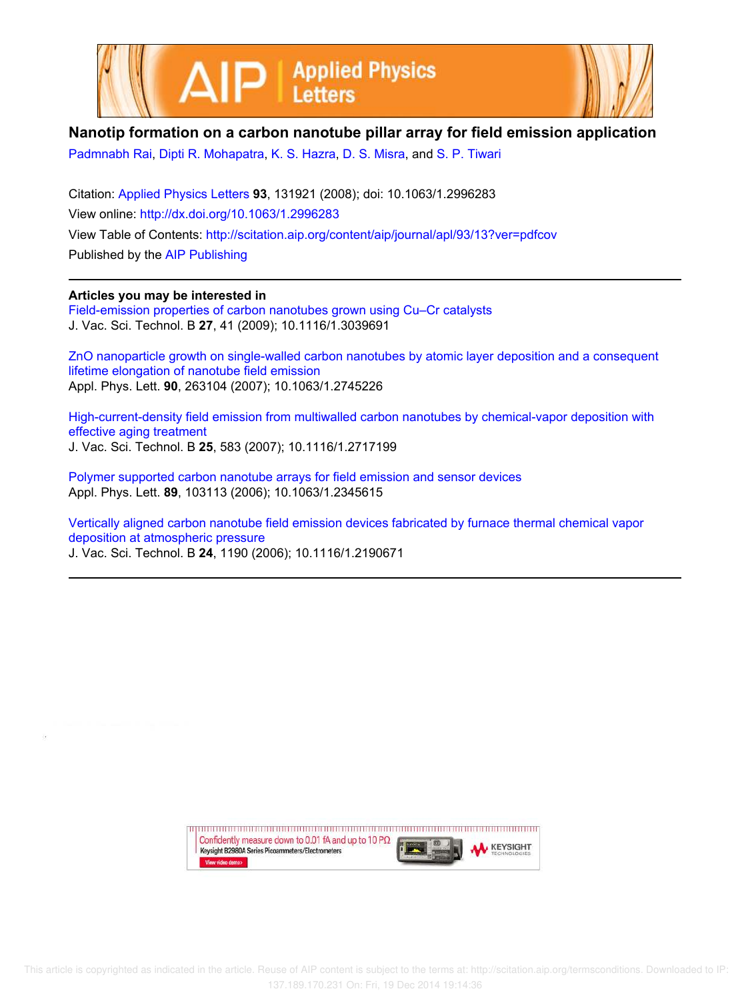



## **Nanotip formation on a carbon nanotube pillar array for field emission application**

Padmnabh Rai, Dipti R. Mohapatra, K. S. Hazra, D. S. Misra, and S. P. Tiwari

Citation: Applied Physics Letters **93**, 131921 (2008); doi: 10.1063/1.2996283 View online: http://dx.doi.org/10.1063/1.2996283 View Table of Contents: http://scitation.aip.org/content/aip/journal/apl/93/13?ver=pdfcov Published by the AIP Publishing

## **Articles you may be interested in**

Field-emission properties of carbon nanotubes grown using Cu–Cr catalysts J. Vac. Sci. Technol. B **27**, 41 (2009); 10.1116/1.3039691

ZnO nanoparticle growth on single-walled carbon nanotubes by atomic layer deposition and a consequent lifetime elongation of nanotube field emission Appl. Phys. Lett. **90**, 263104 (2007); 10.1063/1.2745226

High-current-density field emission from multiwalled carbon nanotubes by chemical-vapor deposition with effective aging treatment J. Vac. Sci. Technol. B **25**, 583 (2007); 10.1116/1.2717199

Polymer supported carbon nanotube arrays for field emission and sensor devices Appl. Phys. Lett. **89**, 103113 (2006); 10.1063/1.2345615

Vertically aligned carbon nanotube field emission devices fabricated by furnace thermal chemical vapor deposition at atmospheric pressure J. Vac. Sci. Technol. B **24**, 1190 (2006); 10.1116/1.2190671

> Confidently measure down to 0.01 fA and up to 10 P $\Omega$ **KEYSIGHT** Keysight B2980A Series Picoammeters/Electrometers View video demo>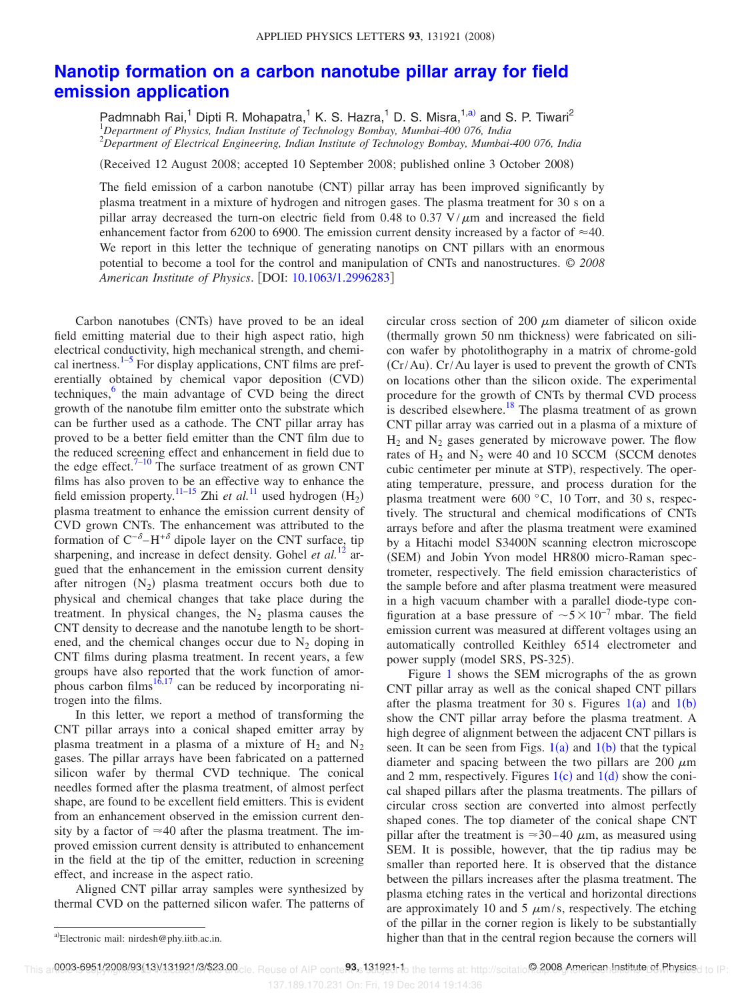## **Nanotip formation on a carbon nanotube pillar array for field emission application**

Padmnabh Rai,<sup>1</sup> Dipti R. Mohapatra,<sup>1</sup> K. S. Hazra,<sup>1</sup> D. S. Misra,<sup>1,a)</sup> and S. P. Tiwari<sup>2</sup> <sup>1</sup>*Department of Physics, Indian Institute of Technology Bombay, Mumbai-400 076, India* <sup>2</sup>*Department of Electrical Engineering, Indian Institute of Technology Bombay, Mumbai-400 076, India*

Received 12 August 2008; accepted 10 September 2008; published online 3 October 2008-

The field emission of a carbon nanotube (CNT) pillar array has been improved significantly by plasma treatment in a mixture of hydrogen and nitrogen gases. The plasma treatment for 30 s on a pillar array decreased the turn-on electric field from 0.48 to 0.37  $V/\mu$ m and increased the field enhancement factor from 6200 to 6900. The emission current density increased by a factor of  $\approx$ 40. We report in this letter the technique of generating nanotips on CNT pillars with an enormous potential to become a tool for the control and manipulation of CNTs and nanostructures. © *2008 American Institute of Physics*. DOI: 10.1063/1.2996283

Carbon nanotubes (CNTs) have proved to be an ideal field emitting material due to their high aspect ratio, high electrical conductivity, high mechanical strength, and chemical inertness. $1-5$  For display applications, CNT films are preferentially obtained by chemical vapor deposition (CVD) techniques,<sup>6</sup> the main advantage of CVD being the direct growth of the nanotube film emitter onto the substrate which can be further used as a cathode. The CNT pillar array has proved to be a better field emitter than the CNT film due to the reduced screening effect and enhancement in field due to the edge effect. $7-10$  The surface treatment of as grown CNT films has also proven to be an effective way to enhance the field emission property.<sup>11–15</sup> Zhi *et al.*<sup>11</sup> used hydrogen  $(H_2)$ plasma treatment to enhance the emission current density of CVD grown CNTs. The enhancement was attributed to the formation of  $C^{-\delta}-H^{+\delta}$  dipole layer on the CNT surface, tip sharpening, and increase in defect density. Gohel et al.<sup>12</sup> argued that the enhancement in the emission current density after nitrogen  $(N_2)$  plasma treatment occurs both due to physical and chemical changes that take place during the treatment. In physical changes, the  $N<sub>2</sub>$  plasma causes the CNT density to decrease and the nanotube length to be shortened, and the chemical changes occur due to  $N_2$  doping in CNT films during plasma treatment. In recent years, a few groups have also reported that the work function of amorphous carbon films $16,17$  can be reduced by incorporating nitrogen into the films.

In this letter, we report a method of transforming the CNT pillar arrays into a conical shaped emitter array by plasma treatment in a plasma of a mixture of  $H_2$  and  $N_2$ gases. The pillar arrays have been fabricated on a patterned silicon wafer by thermal CVD technique. The conical needles formed after the plasma treatment, of almost perfect shape, are found to be excellent field emitters. This is evident from an enhancement observed in the emission current density by a factor of  $\approx 40$  after the plasma treatment. The improved emission current density is attributed to enhancement in the field at the tip of the emitter, reduction in screening effect, and increase in the aspect ratio.

Aligned CNT pillar array samples were synthesized by thermal CVD on the patterned silicon wafer. The patterns of circular cross section of 200  $\mu$ m diameter of silicon oxide (thermally grown 50 nm thickness) were fabricated on silicon wafer by photolithography in a matrix of chrome-gold (Cr/Au). Cr/Au layer is used to prevent the growth of CNTs on locations other than the silicon oxide. The experimental procedure for the growth of CNTs by thermal CVD process is described elsewhere.<sup>18</sup> The plasma treatment of as grown CNT pillar array was carried out in a plasma of a mixture of  $H_2$  and  $N_2$  gases generated by microwave power. The flow rates of  $H_2$  and  $N_2$  were 40 and 10 SCCM (SCCM denotes cubic centimeter per minute at STP), respectively. The operating temperature, pressure, and process duration for the plasma treatment were 600 °C, 10 Torr, and 30 s, respectively. The structural and chemical modifications of CNTs arrays before and after the plasma treatment were examined by a Hitachi model S3400N scanning electron microscope (SEM) and Jobin Yvon model HR800 micro-Raman spectrometer, respectively. The field emission characteristics of the sample before and after plasma treatment were measured in a high vacuum chamber with a parallel diode-type configuration at a base pressure of  $\sim 5 \times 10^{-7}$  mbar. The field emission current was measured at different voltages using an automatically controlled Keithley 6514 electrometer and power supply (model SRS, PS-325).

Figure 1 shows the SEM micrographs of the as grown CNT pillar array as well as the conical shaped CNT pillars after the plasma treatment for 30 s. Figures  $1(a)$  and  $1(b)$ show the CNT pillar array before the plasma treatment. A high degree of alignment between the adjacent CNT pillars is seen. It can be seen from Figs.  $1(a)$  and  $1(b)$  that the typical diameter and spacing between the two pillars are 200  $\mu$ m and 2 mm, respectively. Figures  $1(c)$  and  $1(d)$  show the conical shaped pillars after the plasma treatments. The pillars of circular cross section are converted into almost perfectly shaped cones. The top diameter of the conical shape CNT pillar after the treatment is  $\approx 30-40 \mu$ m, as measured using SEM. It is possible, however, that the tip radius may be smaller than reported here. It is observed that the distance between the pillars increases after the plasma treatment. The plasma etching rates in the vertical and horizontal directions are approximately 10 and 5  $\mu$ m/s, respectively. The etching of the pillar in the corner region is likely to be substantially higher than that in the central region because the corners will

This ar**0003-6951/2008/93(13)/131921/3/\$23.00**cle. Reuse of AIP conte**93.** 131921 1 the terms at: http://scitatio@2008\_American.Instituteret.Physicsd to IP:

137.189.170.231 On: Fri, 19 Dec 2014 19:14:36

Electronic mail: nirdesh@phy.iitb.ac.in.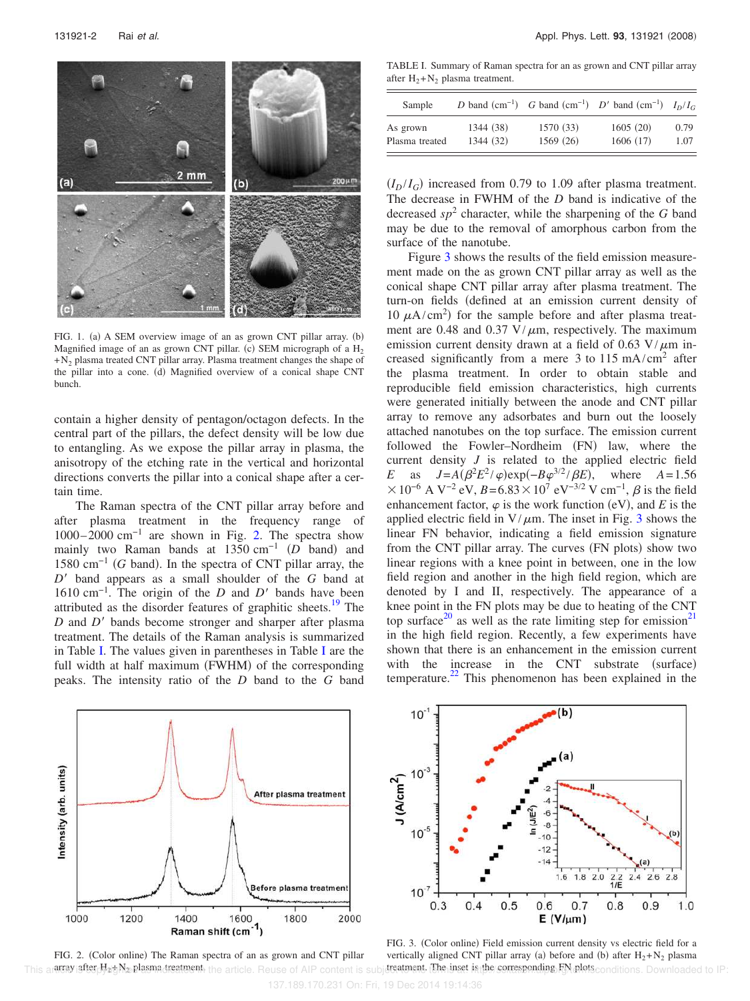

FIG. 1. (a) A SEM overview image of an as grown CNT pillar array. (b) Magnified image of an as grown CNT pillar. (c) SEM micrograph of a  $H_2$  $+N<sub>2</sub>$  plasma treated CNT pillar array. Plasma treatment changes the shape of the pillar into a cone. (d) Magnified overview of a conical shape CNT bunch.

contain a higher density of pentagon/octagon defects. In the central part of the pillars, the defect density will be low due to entangling. As we expose the pillar array in plasma, the anisotropy of the etching rate in the vertical and horizontal directions converts the pillar into a conical shape after a certain time.

The Raman spectra of the CNT pillar array before and after plasma treatment in the frequency range of 1000–2000 cm−1 are shown in Fig. 2. The spectra show mainly two Raman bands at 1350 cm<sup>-1</sup> (D band) and 1580 cm<sup>-1</sup> (G band). In the spectra of CNT pillar array, the *D* band appears as a small shoulder of the *G* band at  $1610 \text{ cm}^{-1}$ . The origin of the *D* and *D'* bands have been attributed as the disorder features of graphitic sheets.<sup>19</sup> The *D* and *D'* bands become stronger and sharper after plasma treatment. The details of the Raman analysis is summarized in Table I. The values given in parentheses in Table I are the full width at half maximum (FWHM) of the corresponding peaks. The intensity ratio of the *D* band to the *G* band

TABLE I. Summary of Raman spectra for an as grown and CNT pillar array after  $H_2 + N_2$  plasma treatment.

| Sample         |           |           | D band (cm <sup>-1</sup> ) G band (cm <sup>-1</sup> ) D' band (cm <sup>-1</sup> ) $I_D/I_C$ |      |
|----------------|-----------|-----------|---------------------------------------------------------------------------------------------|------|
| As grown       | 1344 (38) | 1570 (33) | 1605(20)                                                                                    | 0.79 |
| Plasma treated | 1344 (32) | 1569(26)  | 1606(17)                                                                                    | 1.07 |

 $(I_D/I_G)$  increased from 0.79 to 1.09 after plasma treatment. The decrease in FWHM of the *D* band is indicative of the decreased  $sp^2$  character, while the sharpening of the *G* band may be due to the removal of amorphous carbon from the surface of the nanotube.

Figure 3 shows the results of the field emission measurement made on the as grown CNT pillar array as well as the conical shape CNT pillar array after plasma treatment. The turn-on fields defined at an emission current density of 10  $\mu$ A/cm<sup>2</sup>) for the sample before and after plasma treatment are 0.48 and 0.37 V/ $\mu$ m, respectively. The maximum emission current density drawn at a field of 0.63 V/ $\mu$ m increased significantly from a mere 3 to  $115 \text{ mA/cm}^2$  after the plasma treatment. In order to obtain stable and reproducible field emission characteristics, high currents were generated initially between the anode and CNT pillar array to remove any adsorbates and burn out the loosely attached nanotubes on the top surface. The emission current followed the Fowler-Nordheim (FN) law, where the current density *J* is related to the applied electric field *E* as  $J = A(\beta^2 E^2 / \varphi) \exp(-B\varphi^{3/2} / \beta E)$ , where  $A = 1.56$  $\times 10^{-6}$  A V<sup>-2</sup> eV, *B*=6.83 $\times 10^{7}$  eV<sup>-3/2</sup> V cm<sup>-1</sup>, *β* is the field enhancement factor,  $\varphi$  is the work function (eV), and *E* is the applied electric field in  $V/\mu$ m. The inset in Fig. 3 shows the linear FN behavior, indicating a field emission signature from the CNT pillar array. The curves (FN plots) show two linear regions with a knee point in between, one in the low field region and another in the high field region, which are denoted by I and II, respectively. The appearance of a knee point in the FN plots may be due to heating of the CNT top surface<sup>20</sup> as well as the rate limiting step for emission<sup>21</sup> in the high field region. Recently, a few experiments have shown that there is an enhancement in the emission current with the increase in the CNT substrate (surface) temperature. $^{22}$  This phenomenon has been explained in the





FIG. 2. (Color online) The Raman spectra of an as grown and CNT pillar This are spondited H<sub>2</sub>gN<sub>2</sub> plasmadreatment, the article. Reuse of AIP content is subject at the inset is the corresponding FN plots conditions. Downloaded to IP: FIG. 3. (Color online) Field emission current density vs electric field for a vertically aligned CNT pillar array (a) before and (b) after  $H_2 + N_2$  plasma